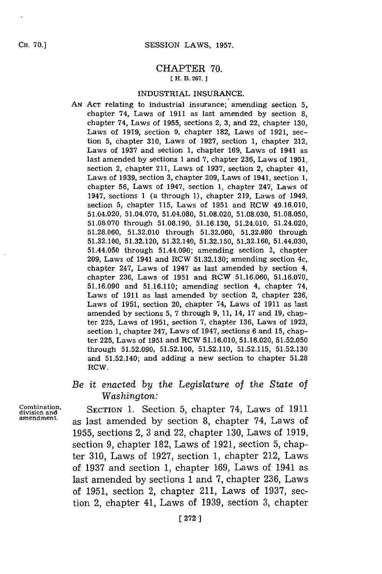**CH. 70.]**

## CHAPTER **70. [ H. B. 267. 1**

#### INDUSTRIAL **INSURANCE.**

**AN ACT** relating to industrial insurance; amending section **5,** chapter 74, Laws of **1911** as last amended **by** section **8,** chapter 74, Laws of **1955,** sections 2, **3,** and 22, chapter **130,** Laws of **1919,** section **9,** chapter **182,** Laws of **1921,** section **5,** chapter **310,** Laws of **1927,** section **1,** chapter 212, Laws of **1937** and section **1,** chapter **169,** Laws of 1941 as last amended **by** sections **1** and **7,** chapter **236,** Laws of **1951,** section 2, chapter 211, Laws of **1937,** section 2, chapter 41, Laws of **1939,** section **3,** chapter **209,** Laws of 1941, section **1,** chapter **56,** Laws of 1947, section **1,** chapter 247, Laws of 1947, sections **1** (a through **1),** chapter **219,** Laws of 1949, section **5,** chapter **115,** Laws of **1951** and RCW 49.16.010, 51.04.020, 51.04.070, 51.04.080, **51.08.020, 51.08.030, 51.08.050, 51.08.070** through **51.08.190, 51.16.130,** 51.24.010, 51.24.020, **51.28.060, 51.32.010** through **51.32.060, 51.32.080** through **51.32.100, 51.32.120,** 51.32.140, **51.32.150, 51.32.160,** 51.44.030, 51.44.050 through 51.44.090; amending section 2, chapter **209,** Laws of 1941 and RCW **51.32.130;** amending section 4c, chapter 247, Laws of 1947 as last amended **by** section 4, chapter **236,** Laws of **1951** and RCW **51.16.060, 51.16.070, 51.16.090** and **51.16.110;** amending section 4, chapter 74, Laws of **1911** as last amended **by** section 2, chapter **236,** Laws of **1951,** section 20, chapter 74, Laws of **1911** as last amended **by** sections **5, 7** through **9, 11,** 14, **17** and **19,** chapter **225,** Laws of **1951,** section **7,** chapter **136,** Laws of **1923,** section **1,** chapter 247, Laws of 1947, sections **6** and **15,** chapter **225,** Laws of **1951** and RCW **51.16.010, 51.16.020, 51.52.050** through **51.52.090, 51.52.100, 51.52.110, 51.52.115, 51.52.130** and 51.52.140; and adding a new section to chapter **51.28** RCW.

# *Be it enacted by* the *Legislature* of *the State of Washington:*

**Combination,**<br> **Combination,**<br> **SECTION 1. Section 5, chapter 74, Laws of 19** division and<br>amendment. as last amended by section 8, chapter 74, Laws of **1955,** sections 2, **3** and 22, chapter **130,** Laws of **1919,** section **9,** chapter **182,** Laws of **1921,** section **5,** chapter **310,** Laws of **1927,** section **1,** chapter 212, Laws of **1937** and section **1,** chapter **169,** Laws of 1941 as last amended **by** sections **1** and **7,** chapter **236,** Laws of **1951,** section 2, chapter 211, Laws of **1937,** section 2, chapter 41, Laws of **1939,** section **3,** chapter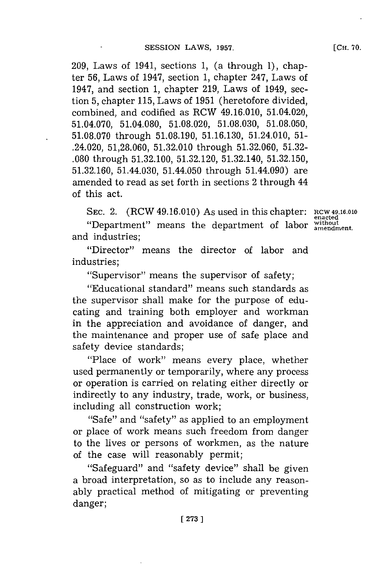**209,** Laws of 1941, sections **1,** (a through **1),** chapter **56,** Laws of 1947, section **1,** chapter 247, Laws of 1947, and section **1,** chapter **219,** Laws of 1949, section **5,** chapter **115,** Laws of **1951** (heretofore divided, combined, and codified as RCW 49.16.010, 51.04.020, 51.04.070, 51.04.080, **51.08.020, 51.08.030, 51.08.050, 51.08.070** through **51.08.190, 51.16.130,** 51.24.010, **51-** .24.020, **51,28.060, 51.32.010** through **51.32.060, 51.32- .080** through **51.32.100, 51.32.120,** 51.32.140, **51.32.150, 51.32.160,** 51.44.030, 51.44.050 through 51.44.090) are amended to read as set forth in sections 2 through 44 of this act.

**SEC.** 2. (RCW 49.16.010) As used in this chapter: RCW 49.16.010

"Department" means the department of labor without and industries;

"Director" means the director of labor and industries;

"Supervisor" means the supervisor of safety;

"Educational standard" means such standards as the supervisor shall make for the purpose of educating and training both employer and workman in the appreciation and avoidance of danger, and the maintenance and proper use of safe place and safety device standards;

"Place of work" means every place, whether used permanently or temporarily, where any process or operation is carried on relating either directly or indirectly to any industry, trade, work, or business, including all construction work;

"Safe" and "safety" as applied to an employment or place of work means such freedom from danger to the lives or persons of workmen, as the nature of the case will reasonably permit;

"Safeguard" and "safety device" shall be given a broad interpretation, so as to include any reasonably practical method of mitigating or preventing danger;

**[CH. 70.**

**en~acted**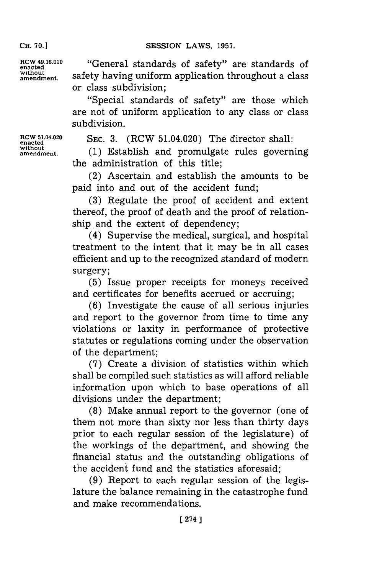**CH. 70.]**

**RCW 49.16.010** "General standards of safety" are standards of **enacted** without safety having uniform application throughout a class or class subdivision;

> "Special standards of safety" are those which are not of uniform application to any class or class subdivision.

**RCW 51.04.020 SEC. 3.** (RCW 51.04.020) The director shall:<br>enacted  $(1)$  Etablish and proposalidate unles decrease

amendment. **(1)** Establish and promulgate rules governing the administration of this title;

> (2) Ascertain and establish the amounts to be paid into and out of the accident fund;

> **(3)** Regulate the proof of accident and extent thereof, the proof of death and the proof of relationship and the extent of dependency;

> (4) Supervise the medical, surgical, and hospital treatment to the intent that it may be in all cases efficient and up to the recognized standard of modern surgery;

> **(5)** Issue proper receipts for moneys received and certificates for benefits accrued or accruing;

> **(6)** Investigate the cause of all serious injuries and report to the governor from time to time any violations or laxity in performance of protective statutes or regulations coming under the observation of the department;

> **(7)** Create a division of statistics within which shall be compiled such statistics as will afford reliable information upon which to base operations of all divisions under the department;

> **(8)** Make annual report to the governor (one of them not more than sixty nor less than thirty days prior to each regular session of the legislature) of the workings of the department, and showing the financial status and the outstanding obligations of the accident fund and the statistics aforesaid;

> **(9)** Report to each regular session of the legislature the balance remaining in the catastrophe fund and make recommendations.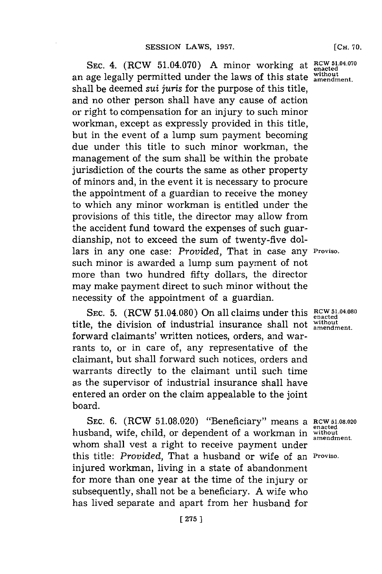SEC. 4. (RCW 51.04.070) A minor working at  $_{enacted}^{RCW 51.04.070}$ an age legally permitted under the laws of this state without shall be deemed *sui juris* for the purpose of this title, and no other person shall have any cause of action or right to compensation **for** an injury to such minor workman, except as expressly provided in this title, but in the event of a lump sum payment becoming due under this title to such minor workman, the management of the sum shall be within the probate jurisdiction of the courts the same as other property of minors and, in the event it is necessary to procure the appointment of a guardian to receive the money to which any minor workman is entitled under the provisions of this title, the director may allow from the accident fund toward the expenses of such guardianship, not to exceed the sum of twenty-five dollars in any one case: *Provided,* That in case any **Proviso.** such minor is awarded a lump sum payment of not more than two hundred fifty dollars, the director may make payment direct to such minor without the necessity of the appointment of a guardian.

**SEC. 5.** (**RCW 51.04.080**) On all claims under this **RCW 51.04.080** title, the division of industrial insurance shall not without forward claimants' written notices, orders, and warrants to, or in care of, any representative of the claimant, but shall forward such notices, orders and warrants directly to the claimant until such time as the supervisor of industrial insurance shall have entered an order on the claim appealable to the joint board.

**SEC. 6.** (RCW **51.08.020)** "Beneficiary" means a **RCW 51.08.020** husband, wife, child, or dependent of a workman in **withot** whom shall vest a right to receive payment under this title: *Provided,* That a husband or wife of an **Proviso.** injured workman, living in a state of abandonment for more than one year at the time of the injury or subsequently, shall not be a beneficiary. **A** wife who has lived separate and apart from her husband for

**enacted**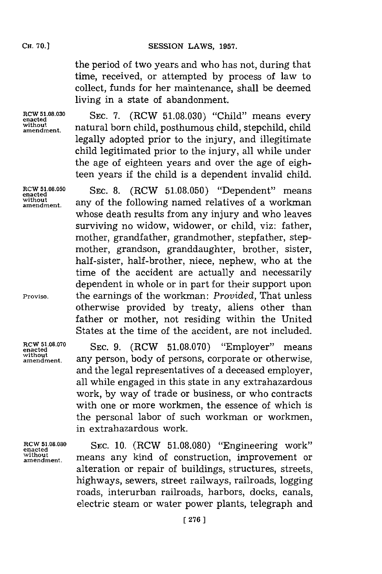the period of two years and who has not, during that time, received, or attempted **by** process of law to collect, funds for her maintenance, shall be deemed living in a state of abandonment.

**without**

**RCW 51.08.030** SEC. 7. (RCW 51.08.030) "Child" means every **amendment,** natural born child, posthumous child, stepchild, child legally adopted prior to the injury, and illegitimate child legitimated prior to the injury, all while under the age of eighteen years and over the age of eighteen years if the child is a dependent invalid child.

**RCW 51.08.050 SEC. 8.** (RCW **51.08.050)** "Dependent" means **enacted** without amendment. any of the following named relatives of a workman whose death results from any injury and who leaves surviving no widow, widower, or child, viz: father, mother, grandfather, grandmother, stepfather, stepmother, grandson, granddaughter, brother, sister, half-sister, half-brother, niece, nephew, who at the time of the accident are actually and necessarily dependent in whole or in part for their support upon **Proviso,** the earnings of the workman: *Provided,* That unless otherwise provided **by** treaty, aliens other than father or mother, not residing within the United States at the time of the accident, are not included.

RCW 51.08.070 SEC. 9. (RCW 51.08.070) "Employer" means any person, body of persons, corporate or otherwise, and the legal representatives of a deceased employer, all while engaged in this state in any extrahazardous work, **by** way of trade or business, or who contracts with one or more workmen, the essence of which is the personal labor of such workman or workmen, in extrahazardous work.

RCW 51.08.080 SEC. 10. (RCW 51.08.080) "Engineering work" **without.** means any kind of construction, improvement or alteration or repair of buildings, structures, streets, highways, sewers, street railways, railroads, logging roads, interurban railroads, harbors, docks, canals, electric steam or water power plants, telegraph and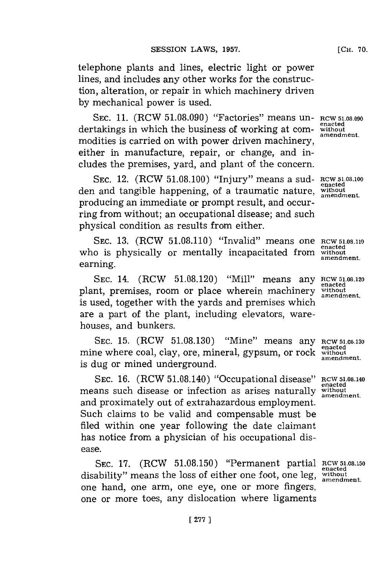telephone plants and lines, electric light or power lines, and includes any other works for the construction, alteration, or repair in which machinery driven **by** mechanical power is used.

**SEC. 11.** (RCW **51.08.090)** "Factories" means un- **RCW 51.0.090** dertakings in which the business of working at commodities is carried on with power driven machinery, either in manufacture, repair, or change, and includes the premises, yard, and plant of the concern.

**SEC.** 12. (RCW **51.08.100)** "Injury" means a sud- **RCW 51.08.100** den and tangible happening, of a traumatic nature, without producing an immediate or prompt result, and occurring from without; an occupational disease; and such physical condition as results from either.

SEC. 13. (RCW 51.08.110) "Invalid" means one **RCW 51.08.110** enacted who is physically or mentally incapacitated from without **earning.amendment.** earning.

**SEC.** 14. (RCW **51.08.120)** "Mill" means any **RCW5.08.120** plant, premises, room or place wherein machinery **wihout** is used, together with the yards and premises which are a part of the plant, including elevators, warehouses, and bunkers.

**SEC. 15.** (RCW **51.08.130)** "Mine" means any **RCW 51.08.130** mine where coal, clay, ore, mineral, gypsum, or rock without is dug or mined underground.

**SEC. 16.** (RCW 51.08.140) "Occupational disease" **RCW <sup>5</sup> 1.08 .14 0** means such disease or infection as arises naturally without and proximately out of extrahazardous employment. Such claims to be valid and compensable must be filed within one year following the date claimant has notice from a physician of his occupational disease.

SEC. 17. (RCW 51.08.150) "Permanent partial RCW 51.08.150 disability" means the loss of either one foot, one leg, without an endment. one hand, one arm, one eye, one or more fingers, one or more toes, any dislocation where ligaments

**amendment.**

**[CH. 70.**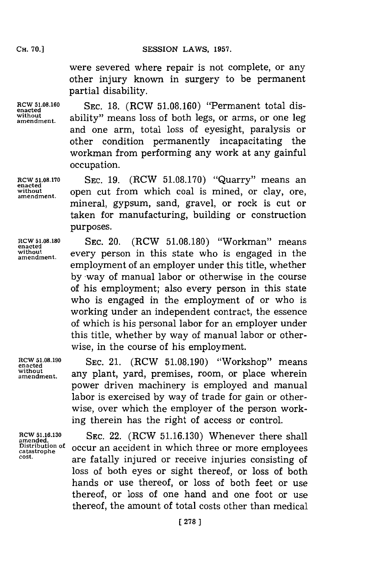were severed where repair is not complete, or any other injury known in surgery to be permanent partial disability.

**without**

**RCW 51.08.160 SEC. 18.** (RCW 51.08.160) "Permanent total disability" means loss of both legs, or arms, or one leg and one arm, total loss of eyesight, paralysis or other condition permanently incapacitating the workman from performing any work at any gainful occupation.

**RCW 51.08.170 SEC. 19.** (RCW **51.08.170)** "Quarry" means an without open cut from which coal is mined, or clay, ore, mineral, gypsum, sand, gravel, or rock is cut or taken for manufacturing, building or construction purposes.

**enacted**

**RCW 51.08.180** SEC. 20. (RCW 51.08.180) "Workman" means<br>
enacted<br>
without a cycle of the state who is angusted in the without every person in this state who is engaged in the employment of an employer under this title, whether **by** -way of manual labor or otherwise in the course of his employment; also every person in this state who is engaged in the employment of or who is working under an independent contract, the essence of which is his personal labor for an employer under this title, whether **by** way of manual labor or otherwise, in the course of his employment.

**encted0819 SEC.** 21. (RCW **51.08.190)** "Workshop" means without any plant, yard, premises, room, or place wherein power driven machinery is employed and manual labor is exercised **by** way of trade for gain or otherwise, over which the employer of the person working therein has the right of access or control.

RCW 51.16.130 SEC. 22. (RCW 51.16.130) Whenever there shall **Distribution of** occur an accident in which three or more employees *cost,* are fatally injured or receive injuries consisting of loss of both eyes or sight thereof, or loss of both hands or use thereof, or loss of both feet or use thereof, or loss of one hand and one foot or use thereof, the amount of total costs other than medical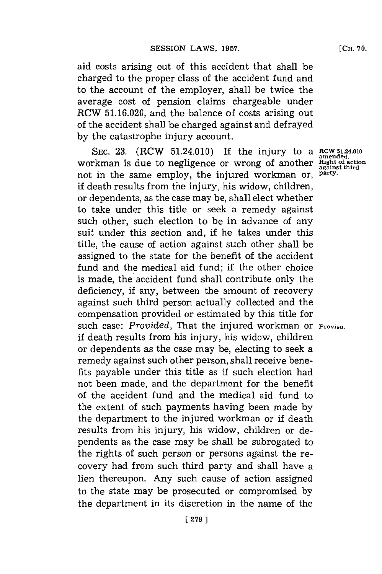aid costs arising out of this accident that shall be charged to the proper class of the accident fund and to the account of the employer, shall be twice the average cost of pension claims chargeable under RCW **51.16.020,** and the balance of costs arising out of the accident shall be charged against and defrayed **by** the catastrophe injury account.

SEC. 23. (RCW 51.24.010) If the injury to a RCW 51.24.010 workman is due to negligence or wrong of another **Right of action** not in the same employ, the injured workman or, **party.** if death results from the injury, his widow, children, or dependents, as the case may be, shall elect whether to take under this title or seek a remedy against such other, such election to be in advance of any suit under this section and, if he takes under this title, the cause of action against such other shall be assigned to the state for the benefit of the accident fund and the medical aid fund; if the other choice is made, the accident fund shall contribute only the deficiency, if any, between the amount of recovery against such third person actually collected and the compensation provided or estimated **by** this title **for** such case: Provided, That the injured workman or **Proviso.** if death results from his injury, his widow, children or dependents as the case may be, electing to seek a remedy against such other person, shall receive benefits payable under this title as **if** such election had not been made, and the department for the benefit of the accident fund and the medical aid fund to the extent of such payments having been made **by** the department to the injured workman or if death results from his injury, his widow, children or dependents as the case may be shall be subrogated to the rights of such person or persons against the recovery had from such third party and shall have a lien thereupon. Any such cause of action assigned to the state may be prosecuted or compromised **by** the department in its discretion in the name of the

**against third**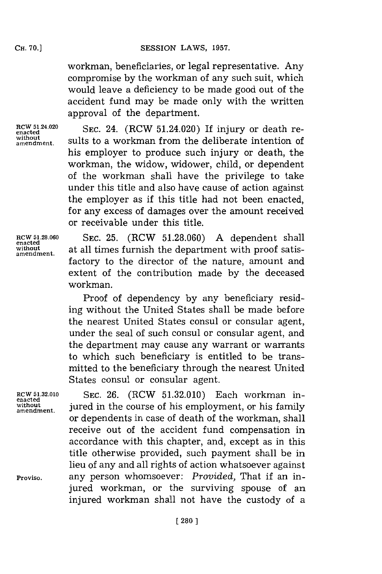## **SESSION LAWS, 1957.**

workman, beneficiaries, or legal representative. Any compromise **by** the workman of any such suit, which would leave a deficiency to be made good out of the accident fund may be made only with the written approval of the department.

**RCW 51.24.020 SEC. 24.** (RCW 51.24.020) I **amendment.** SEC. 24. (RCW 31.24.020) If Injury or death re-<br>without sults to a workman from the deliberate intention of his employer to produce such injury or death, the workman, the widow, widower, child, or dependent of the workman shall have the privilege to take under this title and also have cause of action against the employer as if this title had not been enacted, **for** any excess of damages over the amount received or receivable under this title.

**enacted**

**RCW 51.28.060 SEC. 25.** (ROW **51.28.060) A** dependent shall **without** at all times furnish the department with proof satis- **amendment.** factory to the director of the nature, amount and extent of the contribution made **by** the deceased workman.

> Proof of dependency **by** any beneficiary residing without the United States shall be made before the nearest United States consul or consular agent, under the seal of such consul or consular agent, and the department may cause any warrant or warrants to which such beneficiary is entitled to be transmitted to the beneficiary through the nearest United States consul or consular agent.

**enacted without**

**RCW 5132.010 SEC. 26.** (ROW **51.32.010)** Each workman in**amendment.** jured in the course of his employment, or his family or dependents in case of death of the workman, shall receive out of the accident fund compensation in accordance with this chapter, and, except as in this title otherwise provided, such payment shall be in lieu of any and all rights of action whatsoever against **Proviso,** any person whomsoever: *Provided,* That if an injured workman, or the surviving spouse of an injured workman shall not have the custody of a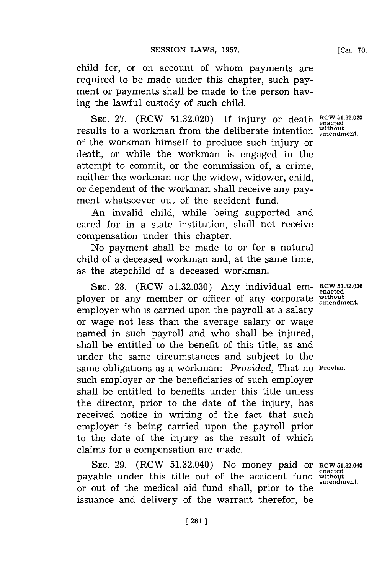child for, or on account of whom payments are required to be made under this chapter, such payment or payments shall be made to the person having the lawful custody of such child.

SEC. 27. (RCW 51.32.020) If injury or death **RCW 51.32.020** results to a workman from the deliberate intention **Without amendment**. of the workman himself to produce such injury or death, or while the workman is engaged in the attempt to commit, or the commission of, a crime, neither the workman nor the widow, widower, child, or dependent of the workman shall receive any payment whatsoever out of the accident fund.

An invalid child, while being supported and cared for in a state institution, shall not receive compensation under this chapter.

No payment shall be made to or for a natural child of a deceased workman and, at the same time, as the stepchild of a deceased workman.

**SEC. 28.** (RCW **51.32.030)** Any individual em- **RCW 51.32.030 enacted** ployer or any member or officer of any corporate **withot** employer who is carried upon the payroll at a salary or wage not less than the average salary or wage named in such payroll and who shall be injured, shall be entitled to the benefit of this title, as and under the same circumstances and subject to the same obligations as a workman: *Provided,* That no **Proviso.** such employer or the beneficiaries of such employer shall be entitled to benefits under this title unless the director, prior to the date of the injury, has received notice in writing of the fact that such employer is being carried upon the payroll prior to the date of the injury as the result of which claims for a compensation are made.

**SEC. 29.** (RCW 51.32.040) No money paid or **RCW 51.32.040** payable under this title out of the accident fund **without** or out of the medical aid fund shall, prior to the issuance and delivery of the warrant therefor, be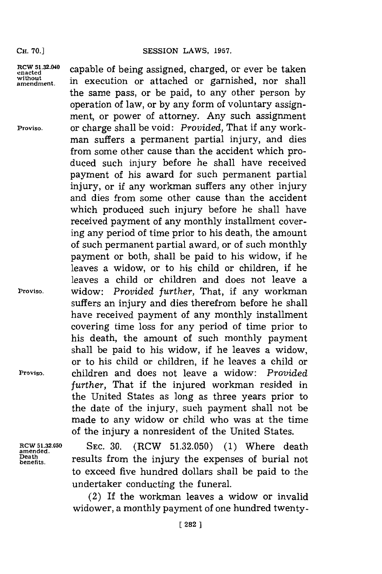the same pass, or be paid, to any other person **by** operation of law, or **by** any form of voluntary assignment, or power of attorney. Any such assignment

man suffers a permanent partial injury, and dies from some other cause than the accident which produced such injury before he shall have received payment of his award for such permanent partial injury, or if any workman suffers any other injury and dies from some other cause than the accident which produced such injury before he shall have received payment of any monthly installment covering any period of time prior to his death, the amount of such permanent partial award, or of such monthly payment or both, shall be paid to his widow, if he leaves a widow, or to his child or children, if he leaves a child or children and does not leave a

RCW 51.32.040 capable of being assigned, charged, or ever be take enacted capable of being assigned, charged, or ever be taken<br>without in execution or attached or garnished, nor shall

**Proviso,** or charge shall be void: *Provided,* That if any work-

**Proviso,** widow: *Provided further,* That, if any workman

**Proviso,** children and does not leave a widow: *Provided*

**amended.**

of the injury a nonresident of the United States. **RCW 5.32.050** SEC. **30.** (RCW **51.32.050) (1)** Where death  $\mathcal{D}_{\text{beath}}$  results from the injury the expenses of burial not to exceed five hundred dollars shall be paid to the undertaker conducting the funeral.

*further,* That if the injured workman resided in the United States as long as three years prior to the date of the injury, such payment shall not be made to any widow or child who was at the time

suffers an injury and dies therefrom before he shall have received payment of any monthly installment covering time loss for any period of time prior to his death, the amount of such monthly payment shall be paid to his widow, if he leaves a widow, or to his child or children, if he leaves a child or

(2) If the workman leaves a widow or invalid widower, a monthly payment of one hundred twenty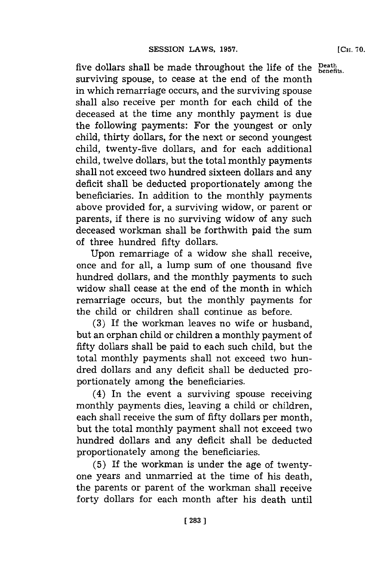five dollars shall be made throughout the life of the Death surviving spouse, to cease at the end of the month in which remarriage occurs, and the surviving spouse shall also receive per month for each child of the deceased at the time any monthly payment is due the following payments: For the youngest or only child, thirty dollars, for the next or second youngest child, twenty-five dollars, and for each additional child, twelve dollars, but the total monthly payments shall not exceed two hundred sixteen dollars and any deficit shall be deducted proportionately among the beneficiaries. In addition to the monthly payments above provided for, a surviving widow, or parent or parents, if there is no surviving widow of any such deceased workman shall be forthwith paid the sum of three hundred fifty dollars.

Upon remarriage of a widow she shall receive, once and for all, a lump sum of one thousand five hundred dollars, and the monthly payments to such widow shall cease at the end of the month in which remarriage occurs, but the monthly payments for the child or children shall continue as before.

**(3)** If the workman leaves no wife or husband, but an orphan child or children a monthly payment of fifty dollars shall be paid to each such child, but the total monthly payments shall not exceed two hundred dollars and any deficit shall be deducted proportionately among the beneficiaries.

(4) In the event a surviving spouse receiving monthly payments dies, leaving a child or children, each shall receive the sum of fifty dollars per month, but the total monthly payment shall not exceed two hundred dollars and any deficit shall be deducted proportionately among the beneficiaries.

**(5)** If the workman is under the age of twentyone years and unmarried at the time of his death, the parents or parent of the workman shall receive forty dollars for each month after his death until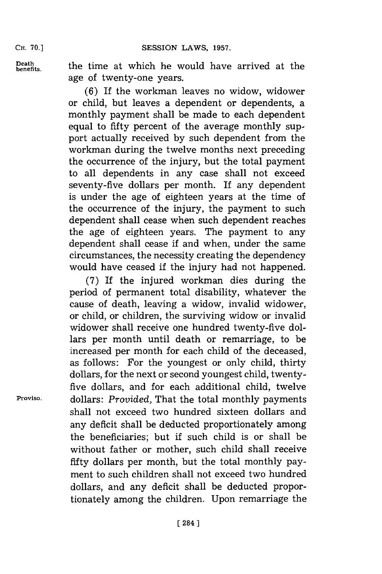Cii. **70.]**

**Death**

the time at which he would have arrived at the age of twenty-one years.

**(6)** If the workman leaves no widow, widower or child, but leaves a dependent or dependents, a monthly payment shall be made to each dependent equal to fifty percent of the average monthly support actually received **by** such dependent from the workman during the twelve months next preceding the occurrence of the injury, but the total payment to all dependents in any case shall not exceed seventy-five dollars per month. If any dependent is under the age of eighteen years at the time of the occurrence of the injury, the payment to such dependent shall cease when such dependent reaches the age of eighteen years. The payment to any dependent shall cease if and when, under the same circumstances, the necessity creating the dependency would have ceased if the injury had not happened.

**('7)** If the injured workman dies during the period of permanent total disability, whatever the cause of death, leaving a widow, invalid widower, or child, or children, the surviving widow or invalid widower shall receive one hundred twenty-five dollars per month until death or remarriage, to be increased per month for each child of the deceased, as follows: For the youngest or only child, thirty dollars, for the next or second youngest child, twentyfive dollars, and for each additional child, twelve **Proviso.** dollars: *Provided,* That the total monthly payments shall not exceed two hundred sixteen dollars and any deficit shall be deducted proportionately among the beneficiaries; but **if** such child is or shall be without father or mother, such child shall receive fifty dollars per month, but the total monthly payment to such children shall not exceed two hundred dollars, and any deficit shall be deducted proportionately among the children. Upon remarriage the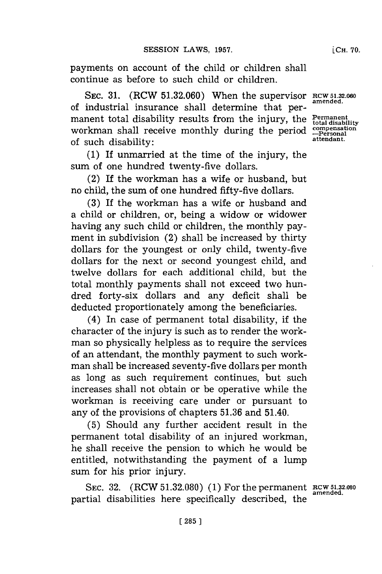**[CH. 70.**

payments on account of the child or children shall continue as before to such child or children.

SEC. 31. (RCW 51.32.060) When the supervisor **RCW 51.32.060** of industrial insurance shall determine that permanent total disability results from the injury, the Permanent workman shall receive monthly during the period  $\frac{\text{compensation}}{\text{Personal}}$ of such disability:

**(1)** If unmarried at the time of the injury, the sum of one hundred twenty-five dollars.

(2) If the workman has a wife or husband, but no child, the sum of one hundred fifty-five dollars.

**(3)** If the workman has a wife or husband and a child or children, or, being a widow or widower having any such child or children, the monthly payment in subdivision (2) shall be increased **by** thirty dollars for the youngest or only child, twenty-five dollars for the next or second youngest child, and twelve dollars for each additional child, but the total monthly payments shall not exceed two hundred forty-six dollars and any deficit shall be deducted proportionately among the beneficiaries.

(4) In case of permanent total disability, if the character of the injury is such as to render the workman so physically helpless as to require the services of an attendant, the monthly payment to such workman shall be increased seventy-five dollars per month as long as such requirement continues, but such increases shall not obtain or be operative while the workman is receiving care under or pursuant to any of the provisions of chapters **51.36** and 51.40.

**(5)** Should any further accident result in the permanent total disability of an injured workman, he shall receive the pension to which he would be entitled, notwithstanding the payment of a lump sum for his prior injury.

SEC. **32.** (RCW **51.32.080) (1)** For the permanent **RCW 5.32.080** partial disabilities here specifically described, the

**amended.**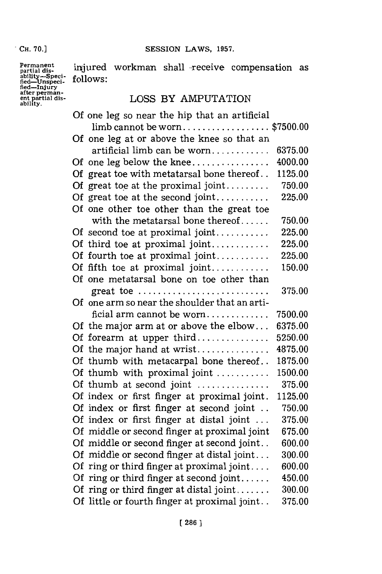**. CH. 70.1**

**SESSION LAWS, 1957.** 

pativity-Speci-<br>fied-Unspeci- follow<br>fied-Injury<br>after perman**ability.**

**Permanent** influend **v** injured workman shall receive compensation as follows:

# LOSS BY AMPUTATION

| Of one leg so near the hip that an artificial |                                               |         |
|-----------------------------------------------|-----------------------------------------------|---------|
|                                               | $\lim$ b cannot be worn\$7500.00              |         |
|                                               | Of one leg at or above the knee so that an    |         |
|                                               | artificial limb can be worn                   | 6375.00 |
|                                               | Of one leg below the knee                     | 4000.00 |
|                                               | Of great toe with metatarsal bone thereof     | 1125.00 |
|                                               | Of great toe at the proximal joint            | 750.00  |
|                                               | Of great toe at the second joint              | 225.00  |
|                                               | Of one other toe other than the great toe     |         |
|                                               | with the metatarsal bone thereof              | 750.00  |
|                                               | Of second toe at proximal joint               | 225.00  |
|                                               | Of third toe at proximal joint                | 225.00  |
|                                               | Of fourth toe at proximal joint               | 225.00  |
|                                               | Of fifth toe at proximal joint                | 150.00  |
|                                               | Of one metatarsal bone on toe other than      |         |
|                                               | great toe                                     | 375.00  |
|                                               | Of one arm so near the shoulder that an arti- |         |
|                                               | ficial arm cannot be worn                     | 7500.00 |
|                                               | Of the major arm at or above the elbow        | 6375.00 |
|                                               | Of forearm at upper third                     | 5250.00 |
|                                               | Of the major hand at wrist                    | 4875.00 |
|                                               | Of thumb with metacarpal bone thereof         | 1875.00 |
|                                               | Of thumb with proximal joint                  | 1500.00 |
|                                               | Of thumb at second joint                      | 375.00  |
|                                               | Of index or first finger at proximal joint.   | 1125.00 |
|                                               | Of index or first finger at second joint      | 750.00  |
|                                               | Of index or first finger at distal joint      | 375.00  |
|                                               | Of middle or second finger at proximal joint  | 675.00  |
|                                               | Of middle or second finger at second joint    | 600.00  |
|                                               | Of middle or second finger at distal joint    | 300.00  |
|                                               | Of ring or third finger at proximal joint     | 600.00  |
|                                               | Of ring or third finger at second joint       | 450.00  |
|                                               | Of ring or third finger at distal joint       | 300.00  |
|                                               | Of little or fourth finger at proximal joint  | 375.00  |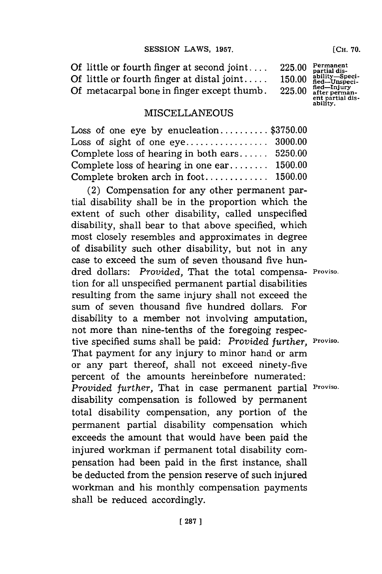**(CH. 70.**

**Of little or fourth finger at second joint ....** 225.00  $\frac{Permanent}{partialis-H}$ <br> **Of little or fourth finger at distal joint .....** 150.00  $\frac{abel-Unspecial}{field-Unipeci-}$ <br> **Of metacarpal bone in finger except thumb**. 225.00  $\frac{field-Uniprcin}{after permap}$ **Of little or fourth finger at distal ioint....** Of metacarpal bone in finger except thumb. ent partial dis-<br>ability.

## **MISCELLANEOUS**

| Loss of one eye by enucleation\$3750.00         |  |
|-------------------------------------------------|--|
|                                                 |  |
| Complete loss of hearing in both ears $5250.00$ |  |
| Complete loss of hearing in one ear $1500.00$   |  |
|                                                 |  |

(2) Compensation **for** any other permanent partial disability shall be in the proportion which the extent of such other disability, called unspecified disability, shall bear to that above specified, which most closely resembles and approximates in degree of disability such other disability, but not in any case to exceed the sum of seven thousand five hundred dollars: *Provided,* That the total compensa- **Proviso.** tion for all unspecified permanent partial disabilities resulting from the same injury shall not exceed the sum of seven thousand five hundred dollars. For disability to a member not involving amputation, not more than nine-tenths of the foregoing respective specified sums shall be paid: *Provided further,* **Proviso.** That payment for any injury to minor hand or arm or any part thereof, shall not exceed ninety-five percent of the amounts hereinbefore numerated: *Provided further,* That in case permanent partial **Proviso.** disability compensation is followed **by** permanent total disability compensation, any portion of the permanent partial disability compensation which exceeds the amount that would have been paid the injured workman if permanent total disability compensation had been paid in the first instance, shall be deducted from the pension reserve of such injured workman and his monthly compensation payments shall be reduced accordingly.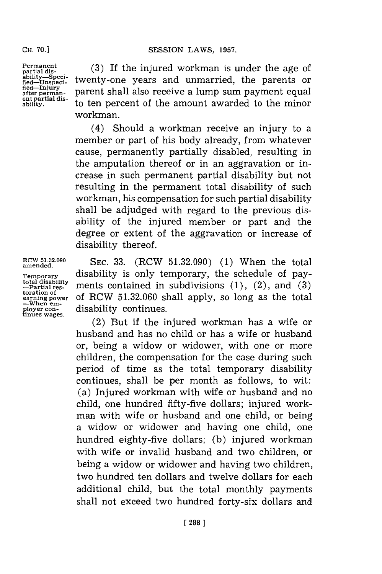**Permanent partial disability-Sped~- fled-Unspeci-fied-Injury after perman-ent partial dis-ability.**

**CH. 70.]**

**(3)** If the injured workman is under the age of twenty-one years and unmarried, the parents or parent shall also receive a lump sum payment equal to ten percent of the amount awarded to the minor workman.

(4) Should a workman receive an injury to a member or part of his body already, from whatever cause, permanently partially disabled, resulting in the amputation thereof or in an aggravation or increase in such permanent partial disability but not resulting in the permanent total disability of such workman, his compensation for such partial disability shall be adjudged with regard to the previous disability of the injured member or part and the degree or extent of the aggravation or increase of disability thereof.

**SEC. 33.** (RCW **51.32.090) (1)** When the total disability is only temporary, the schedule of payments contained in subdivisions **(1),** (2), and **(3)** of RCW **51.32.060** shall apply, so long as the total disability continues.

(2) But if the injured workman has a wife or husband and has no child or has a wife or husband or, being a widow or widower, with one or more children, the compensation for the case during such period of time as the total temporary disability continues, shall be per month as follows, to wit: (a) Injured workman with wife or husband and no child, one hundred fifty-five dollars; injured workman with wife or husband and one child, or being a widow or widower and having one child, one hundred eighty-five dollars; **(b)** injured workman with wife or invalid husband and two children, or being a widow or widower and having two children, two hundred ten dollars and twelve dollars for each additional child, but the total monthly payments shall not exceed two hundred forty-six dollars and

**RCW 51.32.090 amended.**

**Temporary total disability -partial res- toration of earning power -When em- ployer con- tinues wages.**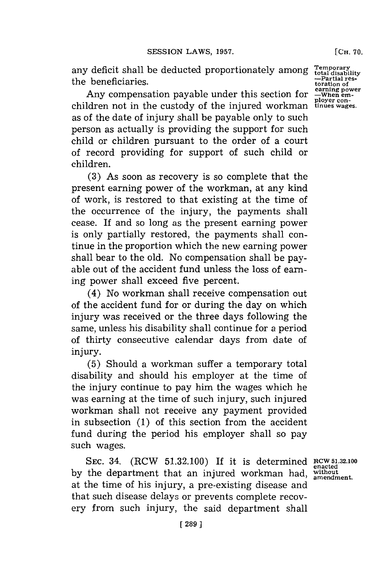any deficit shall be deducted proportionately among the beneficiaries.

Any compensation payable under this section for children not in the custody of the injured workman as of the date of injury shall be payable only to such person as actually is providing the support for such child or children pursuant to the order of a court of record providing for support of such child or children.

**(3)** As soon as recovery is so complete that the present earning power of the workman, at any kind of work, is restored to that existing at the time of the occurrence of the injury, the payments shall cease. If and so long as the present earning power is only partially restored, the payments shall continue in the proportion which the new earning power shall bear to the old. No compensation shall be payable out of the accident fund unless the loss of earning power shall exceed five percent.

(4) No workman shall receive compensation out of the accident fund for or during the day on which injury was received or the three days following the same, unless his disability shall continue for a period of thirty consecutive calendar days from date of injury.

**(5)** Should a workman suffer a temporary total disability and should his employer at the time of the injury continue to pay him the wages which he was earning at the time of such injury, such injured workman shall not receive any payment provided in subsection **(1)** of this section from the accident fund during the period his employer shall so pay such wages.

**SEC.** 34. (RCW **51.32.100)** If it is determined **RCW 51.32.100** by the department that an injured workman had, without at the time of his injury, a pre-existing disease and that such disease delays or prevents complete recovery from such injury, the said department shall

**[CH. 70.**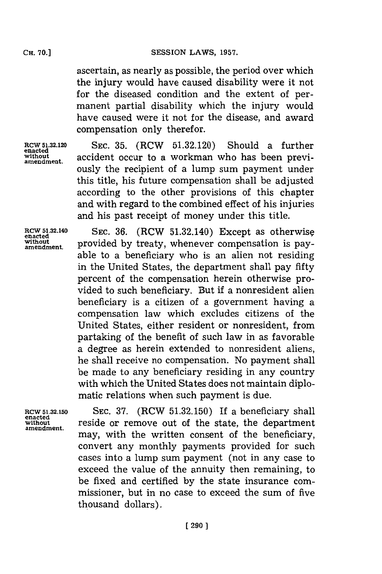ascertain, as nearly as possible, the period over which the injury would have caused disability were it not for the diseased condition and the extent of permanent partial disability which the injury would have caused were it not for the disease, and award compensation only therefor.

**RCW5132.120 SEc. 35.** (RCW **51.32.120)** Should a further **enacted without** accident occur to a workman who has been previ- **amendment.** ously the recipient of a lump sum payment under this title, his future compensation shall be adjusted according to the other provisions of this chapter and with regard to the combined effect of his injuries and his past receipt of money under this title.

**RCW 51.32.140** SEC. 36. (RCW 51.32.140) Except as otherwise enacted<br>without provided by treaty whenever compensation is navamendment. provided **by** treaty, whenever compensation is payable to a beneficiary who is an alien not residing in the United States, the department shall pay fifty percent of the compensation herein otherwise provided to such beneficiary. But **if** a nonresident alien beneficiary is a citizen of a government having a compensation law which excludes citizens of the United States, either resident or nonresident, from partaking of the benefit of such law in as favorable a degree as herein extended to nonresident aliens, he shall receive no compensation. No payment shall be made to any beneficiary residing in any country with which the United States does not maintain diplomatic relations when such payment is due.

**RCW 5.32.150 SEC. 37.** (RCW **51.32.150)** If a beneficiary shall **enacted without** reside or remove out of the state, the department **amendment.** may, with the written consent of the beneficiary, convert any monthly payments provided for such cases into a lump sum payment (not in any case to exceed the value of the annuity then remaining, to be fixed and certified **by** the state insurance commissioner, but in no case to exceed the sum of five thousand dollars).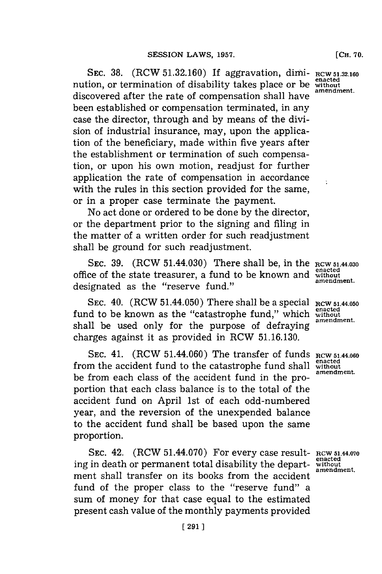**SEC. 38.** (RCW **51.32.160)** If aggravation, dimi- **RCW 51.32.160** nution, or termination of disability takes place or be **enacted** integration. discovered after the rate of compensation shall have **amendment.** been established or compensation terminated, in any case the director, through and **by** means of the division of industrial insurance, may, upon the application of the beneficiary, made within five years after the establishment or termination of such compensation, or upon his own motion, readjust for further application the rate of compensation in accordance with the rules in this section provided for the same, or in a proper case terminate the payment.

No act done or ordered to be done **by** the director, or the department prior to the signing and filing in the matter of a written order for such readjustment shall be ground for such readjustment.

SEC. 39. (RCW 51.44.030) There shall be, in the **RCW 51.44.030** office of the state treasurer, a fund to be known and without annext designated as the "reserve fund."

SEC.  $40.$  (RCW  $51.44.050$ ) There shall be a special RCW  $_{51.44.050}$ fund to be known as the "catastrophe fund," which **enacted expanding expanding expanding expanding expanding expanding expanding expanding expanding expanding expanding expanding expanding expan** shall be used only for the purpose of defraying charges against it as provided in RCW **51.16.130.**

**SEC.** 41. (ROW 51.44.060) The transfer of funds **RCW** 51.44.060 from the accident fund to the catastrophe fund shall without be from each class of the accident fund in the proportion that each class balance is to the total of the accident fund on April 1st of each odd-numbered year, and the reversion of the unexpended balance to the accident fund shall be based upon the same proportion.

**SEC.** 42. (RCW 51.44.070) For every case result- **RCW 51.44.070** ing in death or permanent total disability the department shall transfer on its books from the accident fund of the proper class to the "reserve fund" a sum of money for that case equal to the estimated present cash value of the monthly payments provided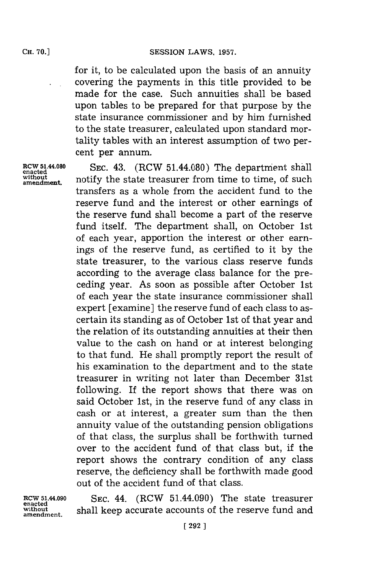for it, to be calculated upon the basis of an annuity covering the payments in this title provided to be made for the case. Such annuities shall be based upon tables to be prepared for that purpose **by** the state insurance commissioner and **by** him furnished to the state treasurer, calculated upon standard mortality tables with an interest assumption of two percent per annum.

SEC. 43. (RCW 51.44.080) The department shall without  $n_{\text{amendment}}$  notify the state treasurer from time to time, of such transfers as a whole from the accident fund to the reserve fund and the interest or other earnings of the reserve fund shall become a part of the reserve fund itself. The department shall, on October 1st of each year, apportion the interest or other earnings of the reserve fund, as certified to it **by** the state treasurer, to the various class reserve funds according to the average class balance for the preceding year. As soon as possible after October 1st of each year the state insurance commissioner shall expert [examine] the reserve fund of each class to ascertain its standing as of October 1st of that year and the relation of its outstanding annuities at their then value to the cash on hand or at interest belonging to that fund. He shall promptly report the result of his examination to the department and to the state treasurer in writing not later than December 31st following. If the report shows that there was on said October 1st, in the reserve fund of any class in cash or at interest, a greater sum than the then annuity value of the outstanding pension obligations of that class, the surplus shall be forthwith turned over to the accident fund of that class but, if the report shows the contrary condition of any class reserve, the deficiency shall be forthwith made good out of the accident fund of that class.

**RCW 51.44.090**<br>enacted<br>without

SEC. 44. (RCW 51.44.090) The state treasurer **without** shall keep accurate accounts of the reserve fund and **amendment.**

**CH. 70.]**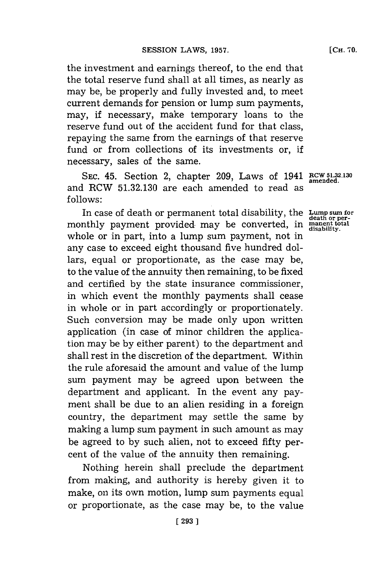the investment and earnings thereof, to the end that the total reserve fund shall at all times, as nearly as may be, be properly and fully invested and, to meet current demands for pension or lump sum payments, may, if necessary, make temporary loans to the reserve fund out of the accident fund for that class, repaying the same from the earnings of that reserve fund or from collections of its investments or, if necessary, sales of the same.

**SEC.** 45. Section 2, chapter **209,** Laws of 1941 **RCW 51.32.130** and RCW **51.32.130** are each amended to read as **f ollows:**

In case of death or permanent total disability, the **Lump sum for** monthly payment provided may be converted, in **manent othal** whole or in part, into a lump sum payment, not in any case to exceed eight thousand five hundred dollars, equal or proportionate, as the case may be, to the value of the annuity then remaining, to be fixed and certified **by** the state insurance commissioner, in which event the monthly payments shall cease in whole or in part accordingly or proportionately. Such conversion may be made only upon written application (in case of minor children the application may be **by** either parent) to the department and shall rest in the discretion of the department. Within the rule aforesaid the amount and value of the lump sum payment may be agreed upon between the department and applicant. In the event any payment shall be due to an alien residing in a foreign country, the department may settle the same **by** making a lump sum payment in such amount as may be agreed to by such alien, not to exceed fifty percent of the value of the annuity then remaining.

Nothing herein shall preclude the department from making, and authority is hereby given it to make, on its own motion, lump sum payments equal or proportionate, as the case may be, to the value

**amended.**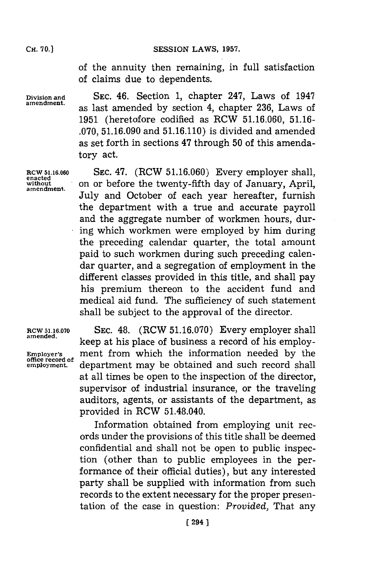SESSION LAWS, 1957.

of the annuity then remaining, in full satisfaction of claims due to dependents.

**Division and SEC.** 46. Section **1,** chapter 247, Laws of 1947 as last amended by section 4, chapter 236, Laws of **1951** (heretofore codified as RCW **51.16.060, 51.16- .070, 51.16.090** and **51.16.110)** is divided and amended as set forth in sections 47 through **50** of this amendatory act.

**RCW 51.16.060 SEC.** 47. (RCW **51.16.060)** Every employer shall, **enacted** without on or before the twenty-fifth day of January, April, July and October of each year hereafter, furnish the department with a true and accurate payroll and the aggregate number of workmen hours, during which workmen were employed **by** him during the preceding calendar quarter, the total amount paid to such workmen during such preceding calendar quarter, and a segregation of employment in the different classes provided in this title, and shall pay his premium thereon to the accident fund and medical aid fund. The sufficiency of such statement shall be subject to the approval of the director.

**RCW 51.16.070 SEC.** 48. (RCW **51.16.070)** Every employer shall keep at his place of business a record of his employ-**Employer's** ment from which the information needed by the office record of **empoyment.** department may be obtained and such record shall at all times be open to the inspection of the director, supervisor of industrial insurance, or the traveling auditors, agents, or assistants of the department, as provided in RCW 51.48.040.

> Information obtained from employing unit records under the provisions of this title shall be deemed confidential and shall not be open to public inspection (other than to public employees in the performance of their official duties), but any interested party shall be supplied with information from such records to the extent necessary for the proper presentation of the case in question: *Provided,* That any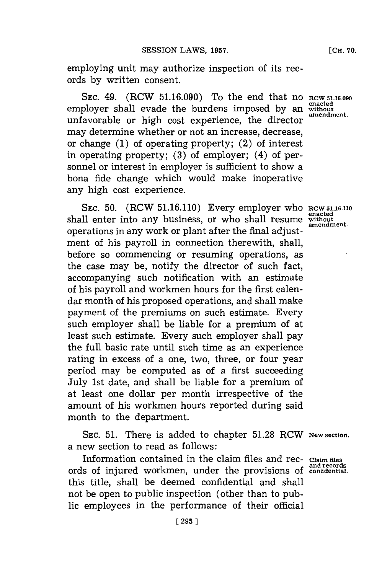employing unit may authorize inspection of its records **by** written consent.

**SEC.** 49. (RCW **51.16.090)** To the end that no **RCW 5.16.090** employer shall evade the burdens imposed by an without unfavorable or high cost experience, the director may determine whether or not an increase, decrease, or change **(1)** of operating property; (2) of interest in operating property; **(3)** of employer; (4) of personnel or interest in employer is sufficient to show a bona fide change which would make inoperative any high cost experience.

**SEC. 50.** (RCW **51.16.110)** Every employer who RCW **5116.110** shall enter into any business, or who shall resume **without amendment.** operations in any work or plant after the final adjustment of his payroll in connection therewith, shall, before so commencing or resuming operations, as the case may be, notify the director of such fact, accompanying such notification with an estimate of his payroll and workmen hours for the first calendar month of his proposed operations, and shall make payment of the premiums on such estimate. Every such employer shall be liable for a premium of at least such estimate. Every such employer shall pay the full basic rate until such time as an experience rating in excess of a one, two, three, or four year period may be computed as of a first succeeding July 1st date, and shall be liable for a premium of at least one dollar per month irrespective of the amount of his workmen hours reported during said month to the department.

**SEC. 51.** There is added to chapter **51.28** RCW **New section.** a new section to read as follows:

Information contained in the claim files and rec- **Claim fles and records** ords of injured workmen, under the provisions of **confidentiall.** this title, shall be deemed confidential and shall not be open to public inspection (other than to public employees in the performance of their official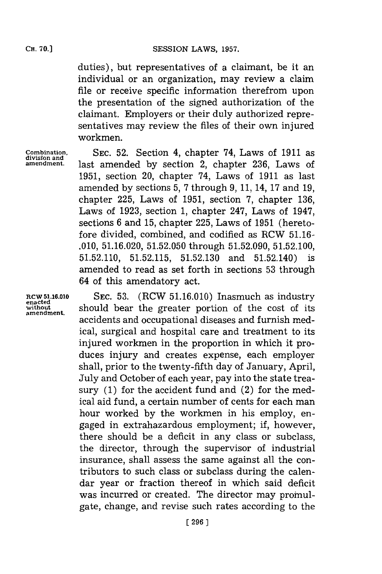duties), but representatives of a claimant, be it an individual or an organization, may review a claim file or receive specific information therefrom upon the presentation of the signed authorization of the claimant. Employers or their duly authorized representatives may review the files of their own injured workmen.

**Combination,** SEC. 52. Section 4, chapter 74, Laws of 1911 as division and  $\alpha$ <br>amendment. last amended by section 2 chapter 236 Laws of last amended by section 2, chapter 236, Laws of **1951,** section 20, chapter 74, Laws of **1911** as last amended **by** sections **5, 7** through **9, 11,** 14, **17** and **19,** chapter **225,** Laws of **1951,** section **7,** chapter **136,** Laws of **1923,** section **1,** chapter 247, Laws of 1947, sections **6** and **15,** chapter **225,** Laws of **1951** (heretofore divided, combined, and codified as RCW **51.16- .010, 51.16.020, 51.52.050** through **51.52.090, 51.52.100, 51.52.110, 51.52.115, 51.52.130** and 51.52.140) is amended to read as set forth in sections **53** through 64 of this amendatory act.

**RCW 5.16.10 SEC. 53.** (RCW **51.16.010)** Inasmuch as industry **enacted without** should bear the greater portion of the cost of its **amendment.** accidents and occupational diseases and furnish medical, surgical and hospital care and treatment to its injured workmen in the proportion in which it produces injury and creates expense, each employer shall, prior to the twenty-fifth day of January, April, July and October of each year, pay into the state treasury **(1)** for the accident fund and (2) for the medical aid fund, a certain number of cents for each man hour worked **by** the workmen in his employ, engaged in extrahazardous employment; if, however, there should be a deficit in any class or subclass, the director, through the supervisor of industrial insurance, shall assess the same against all the contributors to such class or subclass during the calendar year or fraction thereof in which said deficit was incurred or created. The director may promulgate, change, and revise such rates according to the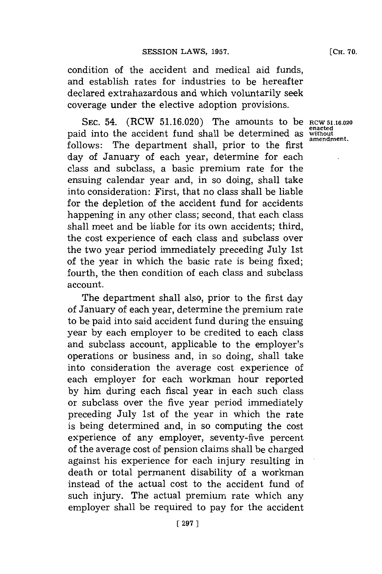condition of the accident and medical aid funds, and establish rates for industries to be hereafter declared extrahazardous and which voluntarily seek coverage under the elective adoption provisions.

**SEC.** 54. (RCW **51.16.020)** The amounts to be **RCW 51.16.020** paid into the accident fund shall be determined as **without** follows: The department shall, prior to the first day of January of each year, determine for each class and subclass, a basic premium rate for the ensuing calendar year and, in so doing, shall take into consideration: First, that no class shall be liable for the depletion of the accident fund for accidents happening in any other class; second, that each class shall meet and be liable **for** its own accidents; third, the cost experience of each class and subclass over the two year period immediately preceding July 1st of the year in which the basic rate is being fixed; fourth, the then condition of each class and subclass account.

The department shall also, prior to the first day of January of each year, determine the premium rate to be paid into said accident fund during the ensuing year **by** each employer to be credited to each class and subclass account, applicable to the employer's operations or business and, in so doing, shall take into consideration the average cost experience of each employer for each workman hour reported **by** him during each fiscal year in each such class or subclass over the five year period immediately preceding July 1st of the year in which the rate is being determined and, in so computing the cost experience of any employer, seventy-five percent of the average cost of pension claims shall be charged against his experience for each injury resulting in death or total permanent disability of a workman instead of the actual cost to the accident fund of such injury. The actual premium rate which any employer shall be required to pay for the accident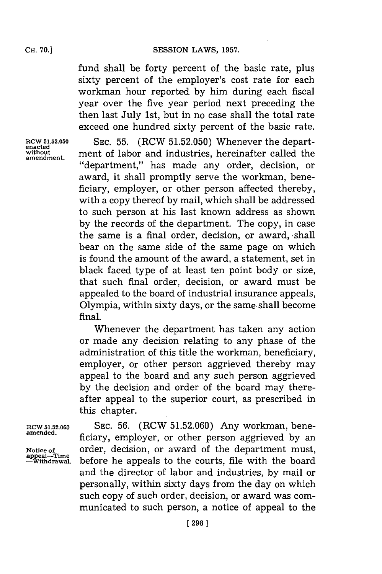fund shall be forty percent of the basic rate, plus sixty percent of the employer's cost rate for each workman hour reported **by** him during each fiscal year over the five year period next preceding the then last July 1st, but in no case shall the total rate exceed one hundred sixty percent of the basic rate.

**amendment.**

**RCW 51.52.050** SEC. 55. (RCW 51.52.050) Whenever the depart-<br>
<u>enacted</u><br>
without ment of labor and industries bereinafter called the ment of labor and industries, hereinafter called the "department," has made any order, decision, or award, it shall promptly serve the workman, beneficiary, employer, or other person affected thereby, with a copy thereof **by** mail, which shall be addressed to such person at his last known address as shown **by** the records of the department. The copy, in case the same is a final order, decision, or award, shall bear on the same side of the same page on which is found the amount of the award, a statement, set in black faced type of at least ten point body or size, that such final order, decision, or award must be appealed to the board of industrial insurance appeals, Olympia, within sixty days, or the same. shall become final.

> Whenever the department has taken any action or made any decision relating to any phase of the administration of this title the workman, beneficiary, employer, or other person aggrieved thereby may appeal to the board and any such person aggrieved **by** the decision and order of the board may thereafter appeal to the superior court, as prescribed in this chapter.

**RCW 51.52.060** SEC. 56. (RCW 51.52.060) Any workman, bene-<br>amended. **amended.** ficiary, employer, or other person aggrieved **by** an Notice of order, decision, or award of the department must, appeal—Time **property** before he appeals to the courts, file with the board before he appeals to the courts, file with the board and the director of labor and industries, **by** mail or personally, within sixty days from the day on which such copy of such order, decision, or award was communicated to such person, a notice of appeal to the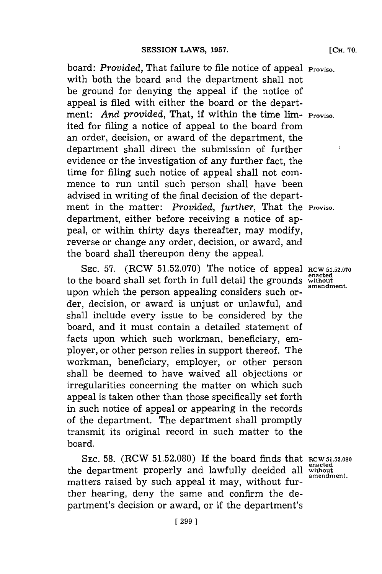board: Provided, That failure to file notice of appeal **Proviso.** with both the board and the department shall not be ground for denying the appeal if the notice of appeal is filed with either the board or the department: *And provided,* That, if within the time lim- **Proviso.** ited for filing a notice of appeal to the board from an order, decision, or award of the department, the department shall direct the submission of further evidence or the investigation of any further fact, the time for filing such notice of appeal shall not commence to run until such person shall have been advised in writing of the final decision of the department in the matter: *Provided, further,* That the **Proviso.** department, either before receiving a notice of appeal, or within thirty days thereafter, may modify, reverse or change any order, decision, or award, and the board shall thereupon deny the appeal.

**SEC. 57.** (RCW **51.52.070)** The notice of appeal **RCW 51.52.070 example of the board shall set forth in full detail the grounds** without **amendment.** upon which the person appealing considers such order, decision, or award is unjust or unlawful, and shall include every issue to be considered **by** the board, and it must contain a detailed statement of facts upon which such workman, beneficiary, employer, or other person relies in support thereof. The workman, beneficiary, employer, or other person shall be deemed to have waived all objections or irregularities concerning the matter on which such appeal is taken other than those specifically set forth in such notice of appeal or appearing in the records of the department. The department shall promptly transmit its original record in such matter to the board.

**SEC. 58.** (RCW **51.52.080) If** the board finds that **RCW 5.52.080** the department properly and lawfully decided all without matters raised **by** such appeal it may, without further hearing, deny the same and confirm the department's decision or award, or if the department's

**amendment.**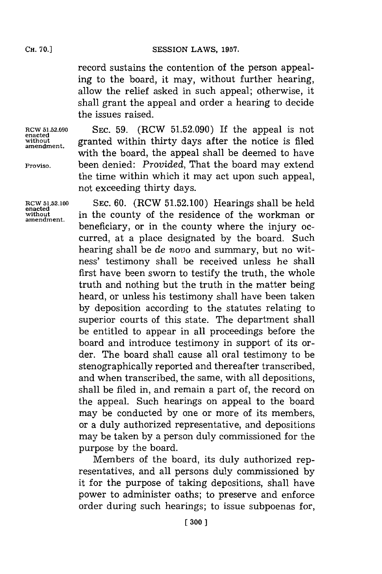record sustains the contention of the person appealing to the board, it may, without further hearing, allow the relief asked in such appeal; otherwise, it shall grant the appeal and order a hearing to decide the issues raised.

**enacted**

**enacted**

**RCW 51.52.090** SEC. **59.** (RCW **51.52.090)** If the appeal is not without granted within thirty days after the notice is filed with the board, the appeal shall be deemed to have **Proviso,** been denied: *Provided,* That the board may extend the time within which it may act upon such appeal, not exceeding thirty days.

**RCW 51.52.100 SEC. 60.** (RCW **51.52.100)** Hearings shall be held without in the county of the residence of the workman or beneficiary, or in the county where the injury occurred, at a place designated **by** the board. Such hearing shall be *de novo* and summary, but no witness' testimony shall be received unless he shall first have been sworn to testify the truth, the whole truth and nothing but the truth in the matter being heard, or unless his testimony shall have been taken **by** deposition according to the statutes relating to superior courts of this state. The department shall be entitled to appear in all proceedings before the board and introduce testimony in support of its order. The board shall cause all oral testimony to be stenographically reported and thereafter transcribed, and when transcribed, the same, with all depositions, shall be filed in, and remain a part of, the record on the appeal. Such hearings on appeal to the board may be conducted **by** one or more of its members, or a duly authorized representative, and depositions may be taken **by** a person duly commissioned for the purpose **by** the board.

> Members of the board, its duly authorized representatives, and all persons duly commissioned **by** it for the purpose of taking depositions, shall have power to administer oaths; to preserve and enforce order during such hearings; to issue subpoenas for,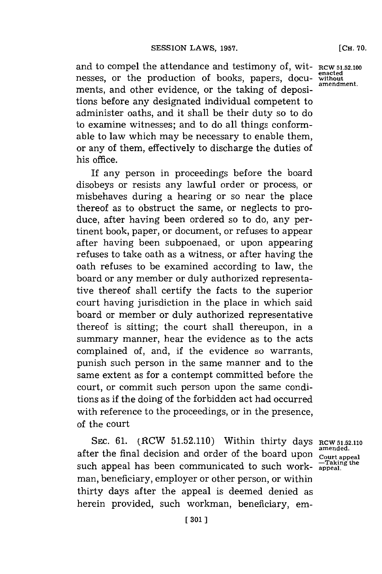and to compel the attendance and testimony of, wit-RCW 51.52.100 resses, or the production of books, papers, docu-without nesses, or the production of books, papers, docu- without ments, and other evidence, or the taking of depositions before any designated individual competent to administer oaths, and it shall be their duty so to do to examine witnesses; and to do all things conformable to law which may be necessary to enable them, or any of them, effectively to discharge the duties of his office.

If any person in proceedings before the board disobeys or resists any lawful order or process, or misbehaves during a hearing or so near the place thereof as to obstruct the same, or neglects to produce, after having been ordered so to do, any pertinent book, paper, or document, or refuses to appear after having been subpoenaed, or upon appearing refuses to take oath as a witness, or after having the oath refuses to be examined according to law, the board or any member or duly authorized representative thereof shall certify the facts to the superior court having jurisdiction in the place in which said board or member or duly authorized representative thereof is sitting; the court shall thereupon, in a summary manner, hear the evidence as to the acts complained of, and, if the evidence so warrants, punish such person in the same manner and to the same extent as for a contempt committed before the court, or commit such person upon the same conditions as if the doing of the forbidden act had occurred with reference to the proceedings, or in the presence, of the court

SEC. 61. (RCW 51.52.110) Within thirty days **RCW 51.52.110** after the final decision and order of the board upon communication of the state of the state appeal such appeal has been communicated to such work- $^{-Takir}_{\text{apreal}}$ man, beneficiary, employer or other person, or within thirty days after the appeal is deemed denied as herein provided, such workman, beneficiary, em-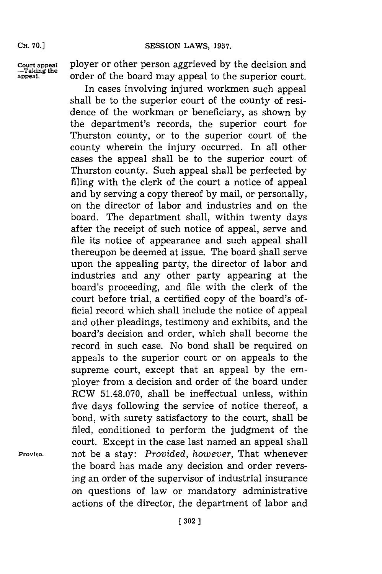**Court appeal**<br> **-Taking the**<br> **appeal**.

**Court appeal** ployer or other person aggrieved **by** the decision and **appeal.** order of the board may appeal to the superior court.

In cases involving injured workmen such appeal shall be to the superior court of the county of residence of the workman or beneficiary, as shown **by** the department's records, the superior court for Thurston county, or to the superior court of the county wherein the injury occurred. In all other cases the appeal shall be to the superior court of Thurston county. Such appeal shall be perfected **by** filing with the clerk of the court a notice of appeal and **by** serving a copy thereof **by** mail, or personally, on the director of labor and industries and on the board. The department shall, within twenty days after the receipt of such notice of appeal, serve and file its notice of appearance and such appeal shall thereupon be deemed at issue. The board shall serve upon the appealing party, the director of labor and industries and any other party appearing at the board's proceeding, and file with the clerk of the court before trial, a certified copy of the board's official record which shall include the notice of appeal and other pleadings, testimony and exhibits, and the board's decision and order, which shall become the record in such case. No bond shall be required on appeals to the superior court or on appeals to the supreme court, except that an appeal **by** the employer from a decision and order of the board under RCW **51.48.070,** shall be ineffectual unless, within five days following the service of notice thereof, a bond, with surety satisfactory to the court, shall be filed, conditioned to perform the judgment of the court. Except in the case last named an appeal shall **Proviso,** not be a stay: *Provided, however,* That whenever the board has made any decision and order reversing an order of the supervisor of industrial insurance on questions of law or mandatory administrative actions of the director, the department of labor and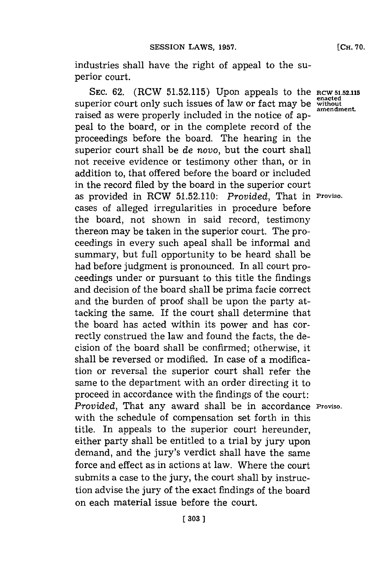industries shall have the right of appeal to the superior court.

**SEC. 62.** (RCW 51.52.115) Upon appeals to the **RCW 51.52.115** enacted<br>enacted perior court only such issues of law or fact may be without superior court only such issues of law or fact may be without raised as were properly included in the notice of appeal to the board, or in the complete record of the proceedings before the board. The hearing in the superior court shall be *de* novo, but the court shall not receive evidence or testimony other than, or in addition to, that offered before the board or included in the record filed **by** the board in the superior court as provided in RCW **51.52.110:** *Provided,* That in **Proviso.** cases of alleged irregularities in procedure before the board, not shown in said record, testimony thereon may be taken in the superior court. The proceedings in every such apeal shall be informal and summary, but full opportunity to be heard shall be had before judgment is pronounced. In all court proceedings under or pursuant to this title the findings and decision of the board shall be prima facie correct and the burden of proof shall be upon the party attacking the same. If the court shall determine that the board has acted within its power and has correctly construed the law and found the facts, the decision of the board shall be confirmed; otherwise, it shall be reversed or modified. In case of a modification or reversal the superior court shall refer the same to the department with an order directing it to proceed in accordance with the findings of the court: *Provided,* That any award shall be in accordance **Proviso.** with the schedule of compensation set forth in this title. In appeals to the superior court hereunder, either party shall be entitled to a trial **by** jury upon demand, and the jury's verdict shall have the same force and effect as in actions at law. Where the court submits a case to the jury, the court shall **by** instruction advise the jury of the exact findings of the board on each material issue before the court.

**[303]1**